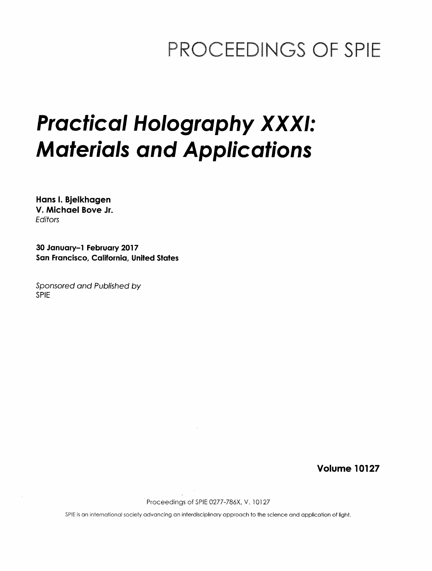## PROCEEDINGS OF SPIE

# Practical Holography XXXI: Materials and Applications

Hans I. Bjelkhagen V. Michael Bove Jr. **Editors** 

30 January-1 February 2017 San Francisco, California, United States

Sponsored and Published by SPIE

Volume 10127

Proceedings of SPIE 0277-786X, V. 10127

SPIE is an international society advancing an interdisciplinary approach to the science and application of light.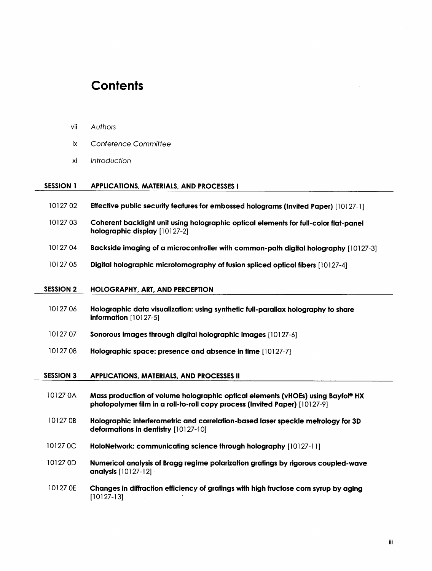### **Contents**

vii Authors

| ĪΧ.              | Conference Committee                                                                                                                                          |
|------------------|---------------------------------------------------------------------------------------------------------------------------------------------------------------|
| хi               | Introduction                                                                                                                                                  |
| <b>SESSION 1</b> | APPLICATIONS, MATERIALS, AND PROCESSES I                                                                                                                      |
| 1012702          | Effective public security features for embossed holograms (Invited Paper) [10127-1]                                                                           |
| 1012703          | Coherent backlight unit using holographic optical elements for full-color flat-panel<br>holographic display [10127-2]                                         |
| 1012704          | Backside imaging of a microcontroller with common-path digital holography [10127-3]                                                                           |
| 1012705          | Digital holographic microtomography of fusion spliced optical fibers [10127-4]                                                                                |
| <b>SESSION 2</b> | <b>HOLOGRAPHY, ART, AND PERCEPTION</b>                                                                                                                        |
| 1012706          | Holographic data visualization: using synthetic full-parallax holography to share<br>information [10127-5]                                                    |
| 1012707          | Sonorous images through digital holographic images [10127-6]                                                                                                  |
| 1012708          | Holographic space: presence and absence in time [10127-7]                                                                                                     |
| <b>SESSION 3</b> | <b>APPLICATIONS, MATERIALS, AND PROCESSES II</b>                                                                                                              |
| 10127 0A         | Mass production of volume holographic optical elements (vHOEs) using Bayfol® HX<br>photopolymer film in a roll-to-roll copy process (Invited Paper) [10127-9] |
| 10127 0B         | Holographic interferometric and correlation-based laser speckle metrology for 3D<br>deformations in dentistry [10127-10]                                      |
| 10127 0C         | HoloNetwork: communicating science through holography [10127-11]                                                                                              |
| 10127 0D         | Numerical analysis of Bragg regime polarization gratings by rigorous coupled-wave                                                                             |

- analysis [10127-12]
- 10127 0E Changes in diffraction efficiency of gratings with high fructose corn syrup by aging [10127-13]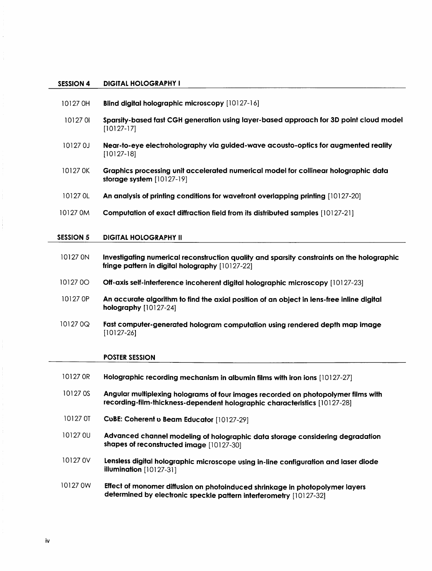#### SESSION 4 DIGITAL HOLOGRAPHY <sup>I</sup>

- 10127 OH Blind digital holographic microscopy [10127-16]
- <sup>10127</sup> <sup>01</sup> Sparsity-based fast CGH generation using layer-based approach for 3D point cloud model [10127-17]
- 10127 0J Near-to-eye electroholography via guided-wave acousto-optics for augmented reality [10127-18]
- 10127 OK Graphics processing unit accelerated numerical model for collinear holographic data storage system [10127-19]
- <sup>10127</sup> OL An analysis of printing conditions for wavefront overlapping printing [10127-20]
- <sup>10127</sup> OM Computation of exact diffraction field from its distributed samples [10127-21 ]

#### SESSION 5 DIGITAL HOLOGRAPHY II

- 10127 ON Investigating numerical reconstruction quality and sparsity constraints on the holographic fringe pattern in digital holography [10127-22]
- <sup>10127</sup> 00 Off-axis self-interference incoherent digital holographic microscopy [10127-23]
- 10127 OP An accurate algorithm to find the axial position of an object in lens-free inline digital holography [10127-24]
- 10127 0Q Fast computer-generated hologram computation using rendered depth map image [10127-26]

#### POSTER SESSION

10127 OR Holographic recording mechanism in albumin films with iron ions [10127-27] 10127 OS Angular multiplexing holograms of four images recorded on photopolymer films with recording-film-thickness-dependent holographic characteristics [10127-28] <sup>10127</sup> OT CuBE: Coherent <sup>u</sup> Beam Educator [10127-29] 10127 0U Advanced channel modeling of holographic data storage considering degradation shapes of reconstructed image [10127-30] 10127 0V Lensless digital holographic microscope using in-line configuration and laser diode illumination [10127-31] <sup>10127</sup> OW Effect of monomer diffusion on photoinduced shrinkage in photopolymer layers determined by electronic speckle pattern interferometry [10127-32]